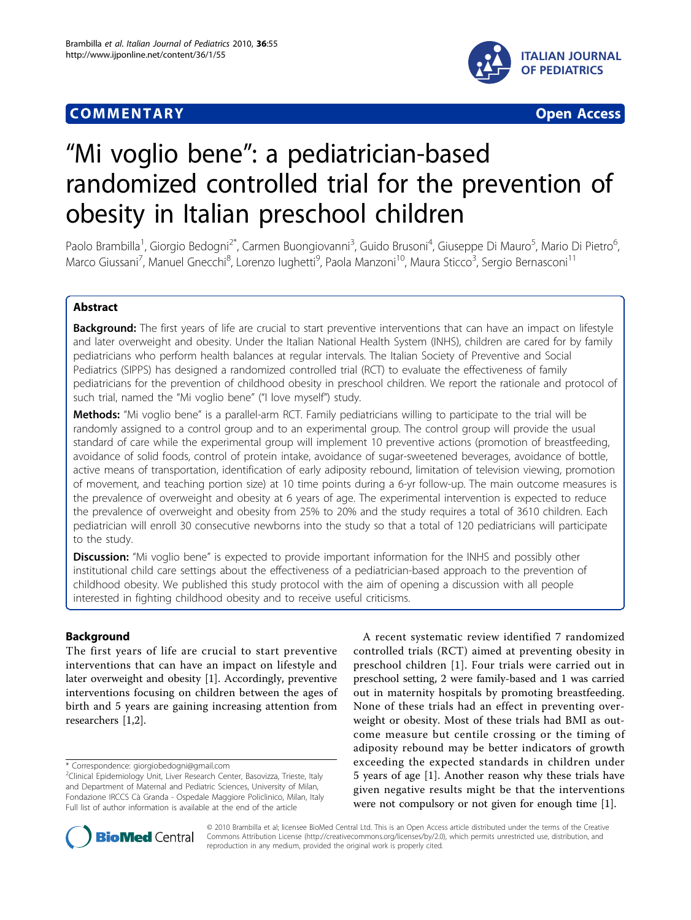# **COMMENTARY COMMENTARY Open Access**





# "Mi voglio bene": a pediatrician-based randomized controlled trial for the prevention of obesity in Italian preschool children

Paolo Brambilla<sup>1</sup>, Giorgio Bedogni<sup>2\*</sup>, Carmen Buongiovanni<sup>3</sup>, Guido Brusoni<sup>4</sup>, Giuseppe Di Mauro<sup>5</sup>, Mario Di Pietro<sup>6</sup> .<br>, Marco Giussani<sup>7</sup>, Manuel Gnecchi<sup>8</sup>, Lorenzo Iughetti<sup>9</sup>, Paola Manzoni<sup>10</sup>, Maura Sticco<sup>3</sup>, Sergio Bernasconi<sup>11</sup>

# Abstract

**Background:** The first years of life are crucial to start preventive interventions that can have an impact on lifestyle and later overweight and obesity. Under the Italian National Health System (INHS), children are cared for by family pediatricians who perform health balances at regular intervals. The Italian Society of Preventive and Social Pediatrics (SIPPS) has designed a randomized controlled trial (RCT) to evaluate the effectiveness of family pediatricians for the prevention of childhood obesity in preschool children. We report the rationale and protocol of such trial, named the "Mi voglio bene" ("I love myself") study.

Methods: "Mi voglio bene" is a parallel-arm RCT. Family pediatricians willing to participate to the trial will be randomly assigned to a control group and to an experimental group. The control group will provide the usual standard of care while the experimental group will implement 10 preventive actions (promotion of breastfeeding, avoidance of solid foods, control of protein intake, avoidance of sugar-sweetened beverages, avoidance of bottle, active means of transportation, identification of early adiposity rebound, limitation of television viewing, promotion of movement, and teaching portion size) at 10 time points during a 6-yr follow-up. The main outcome measures is the prevalence of overweight and obesity at 6 years of age. The experimental intervention is expected to reduce the prevalence of overweight and obesity from 25% to 20% and the study requires a total of 3610 children. Each pediatrician will enroll 30 consecutive newborns into the study so that a total of 120 pediatricians will participate to the study.

**Discussion:** "Mi voglio bene" is expected to provide important information for the INHS and possibly other institutional child care settings about the effectiveness of a pediatrician-based approach to the prevention of childhood obesity. We published this study protocol with the aim of opening a discussion with all people interested in fighting childhood obesity and to receive useful criticisms.

# Background

The first years of life are crucial to start preventive interventions that can have an impact on lifestyle and later overweight and obesity [[1\]](#page-3-0). Accordingly, preventive interventions focusing on children between the ages of birth and 5 years are gaining increasing attention from researchers [[1,2\]](#page-3-0).

\* Correspondence: [giorgiobedogni@gmail.com](mailto:giorgiobedogni@gmail.com)

A recent systematic review identified 7 randomized controlled trials (RCT) aimed at preventing obesity in preschool children [[1](#page-3-0)]. Four trials were carried out in preschool setting, 2 were family-based and 1 was carried out in maternity hospitals by promoting breastfeeding. None of these trials had an effect in preventing overweight or obesity. Most of these trials had BMI as outcome measure but centile crossing or the timing of adiposity rebound may be better indicators of growth exceeding the expected standards in children under 5 years of age [[1](#page-3-0)]. Another reason why these trials have given negative results might be that the interventions were not compulsory or not given for enough time [\[1](#page-3-0)].



© 2010 Brambilla et al; licensee BioMed Central Ltd. This is an Open Access article distributed under the terms of the Creative Commons Attribution License [\(http://creativecommons.org/licenses/by/2.0](http://creativecommons.org/licenses/by/2.0)), which permits unrestricted use, distribution, and reproduction in any medium, provided the original work is properly cited.

<sup>&</sup>lt;sup>2</sup>Clinical Epidemiology Unit, Liver Research Center, Basovizza, Trieste, Italy and Department of Maternal and Pediatric Sciences, University of Milan, Fondazione IRCCS Cà Granda - Ospedale Maggiore Policlinico, Milan, Italy Full list of author information is available at the end of the article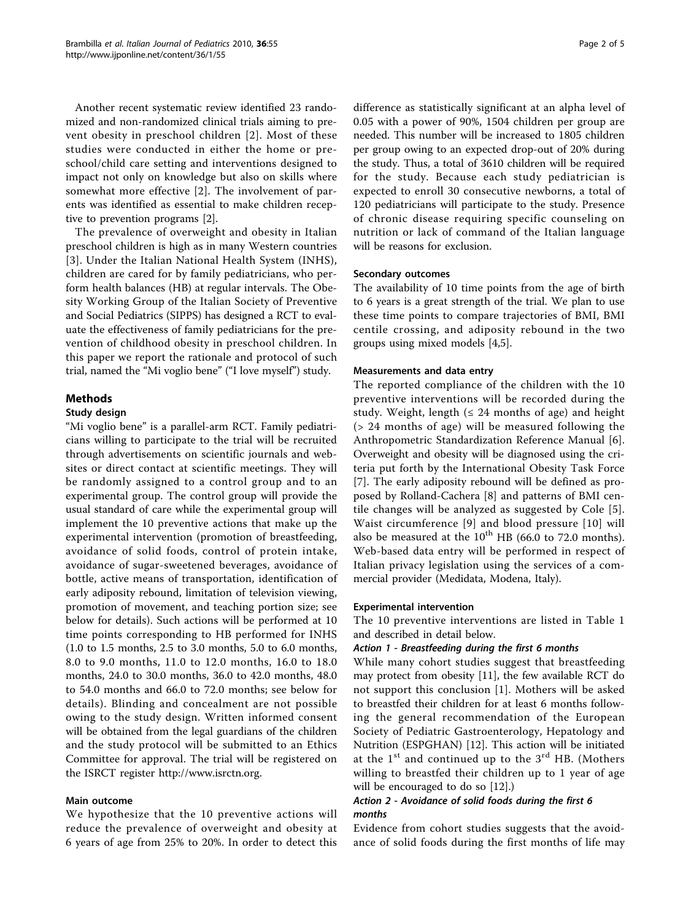Another recent systematic review identified 23 randomized and non-randomized clinical trials aiming to prevent obesity in preschool children [[2](#page-3-0)]. Most of these studies were conducted in either the home or preschool/child care setting and interventions designed to impact not only on knowledge but also on skills where somewhat more effective [[2\]](#page-3-0). The involvement of parents was identified as essential to make children receptive to prevention programs [[2\]](#page-3-0).

The prevalence of overweight and obesity in Italian preschool children is high as in many Western countries [[3](#page-3-0)]. Under the Italian National Health System (INHS), children are cared for by family pediatricians, who perform health balances (HB) at regular intervals. The Obesity Working Group of the Italian Society of Preventive and Social Pediatrics (SIPPS) has designed a RCT to evaluate the effectiveness of family pediatricians for the prevention of childhood obesity in preschool children. In this paper we report the rationale and protocol of such trial, named the "Mi voglio bene" ("I love myself") study.

# Methods

#### Study design

"Mi voglio bene" is a parallel-arm RCT. Family pediatricians willing to participate to the trial will be recruited through advertisements on scientific journals and websites or direct contact at scientific meetings. They will be randomly assigned to a control group and to an experimental group. The control group will provide the usual standard of care while the experimental group will implement the 10 preventive actions that make up the experimental intervention (promotion of breastfeeding, avoidance of solid foods, control of protein intake, avoidance of sugar-sweetened beverages, avoidance of bottle, active means of transportation, identification of early adiposity rebound, limitation of television viewing, promotion of movement, and teaching portion size; see below for details). Such actions will be performed at 10 time points corresponding to HB performed for INHS (1.0 to 1.5 months, 2.5 to 3.0 months, 5.0 to 6.0 months, 8.0 to 9.0 months, 11.0 to 12.0 months, 16.0 to 18.0 months, 24.0 to 30.0 months, 36.0 to 42.0 months, 48.0 to 54.0 months and 66.0 to 72.0 months; see below for details). Blinding and concealment are not possible owing to the study design. Written informed consent will be obtained from the legal guardians of the children and the study protocol will be submitted to an Ethics Committee for approval. The trial will be registered on the ISRCT register [http://www.isrctn.org.](http://www.isrctn.org)

#### Main outcome

We hypothesize that the 10 preventive actions will reduce the prevalence of overweight and obesity at 6 years of age from 25% to 20%. In order to detect this difference as statistically significant at an alpha level of 0.05 with a power of 90%, 1504 children per group are needed. This number will be increased to 1805 children per group owing to an expected drop-out of 20% during the study. Thus, a total of 3610 children will be required for the study. Because each study pediatrician is expected to enroll 30 consecutive newborns, a total of 120 pediatricians will participate to the study. Presence of chronic disease requiring specific counseling on nutrition or lack of command of the Italian language will be reasons for exclusion.

#### Secondary outcomes

The availability of 10 time points from the age of birth to 6 years is a great strength of the trial. We plan to use these time points to compare trajectories of BMI, BMI centile crossing, and adiposity rebound in the two groups using mixed models [\[4,5](#page-3-0)].

#### Measurements and data entry

The reported compliance of the children with the 10 preventive interventions will be recorded during the study. Weight, length  $(≤ 24$  months of age) and height (> 24 months of age) will be measured following the Anthropometric Standardization Reference Manual [\[6](#page-3-0)]. Overweight and obesity will be diagnosed using the criteria put forth by the International Obesity Task Force [[7\]](#page-4-0). The early adiposity rebound will be defined as proposed by Rolland-Cachera [\[8](#page-4-0)] and patterns of BMI centile changes will be analyzed as suggested by Cole [[5](#page-3-0)]. Waist circumference [\[9\]](#page-4-0) and blood pressure [[10](#page-4-0)] will also be measured at the  $10^{th}$  HB (66.0 to 72.0 months). Web-based data entry will be performed in respect of Italian privacy legislation using the services of a commercial provider (Medidata, Modena, Italy).

#### Experimental intervention

The 10 preventive interventions are listed in Table [1](#page-2-0) and described in detail below.

#### Action 1 - Breastfeeding during the first 6 months

While many cohort studies suggest that breastfeeding may protect from obesity [[11](#page-4-0)], the few available RCT do not support this conclusion [[1](#page-3-0)]. Mothers will be asked to breastfed their children for at least 6 months following the general recommendation of the European Society of Pediatric Gastroenterology, Hepatology and Nutrition (ESPGHAN) [\[12](#page-4-0)]. This action will be initiated at the 1<sup>st</sup> and continued up to the 3<sup>rd</sup> HB. (Mothers willing to breastfed their children up to 1 year of age will be encouraged to do so [\[12](#page-4-0)].)

### Action 2 - Avoidance of solid foods during the first 6 months

Evidence from cohort studies suggests that the avoidance of solid foods during the first months of life may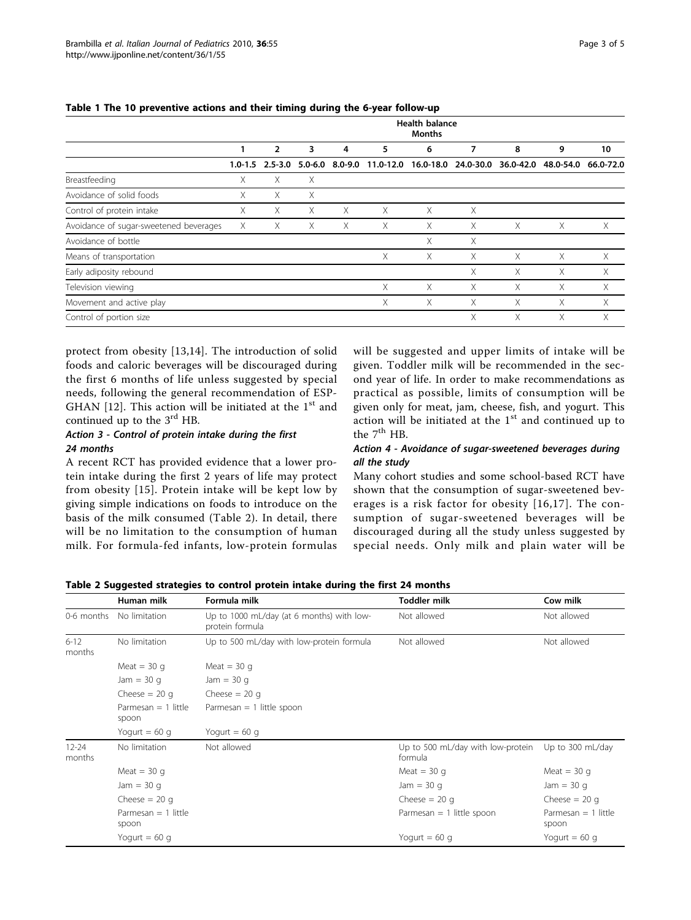|                                        | <b>Health balance</b><br><b>Months</b> |                     |   |                     |           |   |   |   |                                         |           |  |  |
|----------------------------------------|----------------------------------------|---------------------|---|---------------------|-----------|---|---|---|-----------------------------------------|-----------|--|--|
|                                        |                                        | $\overline{2}$      | 3 | 4                   | 5         | 6 | 7 | 8 | 9                                       | 10        |  |  |
|                                        |                                        | $1.0 - 1.5$ 2.5-3.0 |   | $5.0 - 6.0$ 8.0-9.0 | 11.0-12.0 |   |   |   | 16.0-18.0 24.0-30.0 36.0-42.0 48.0-54.0 | 66.0-72.0 |  |  |
| Breastfeeding                          | X                                      | X                   | X |                     |           |   |   |   |                                         |           |  |  |
| Avoidance of solid foods               | X.                                     | X                   | X |                     |           |   |   |   |                                         |           |  |  |
| Control of protein intake              | Χ                                      | X                   | X | X                   | Χ         | X | X |   |                                         |           |  |  |
| Avoidance of sugar-sweetened beverages | X                                      | Χ                   | Χ | Χ                   | Χ         | X | X | X | X                                       | X         |  |  |
| Avoidance of bottle                    |                                        |                     |   |                     |           | X | Χ |   |                                         |           |  |  |
| Means of transportation                |                                        |                     |   |                     | Χ         | X | X | X | X                                       | X         |  |  |
| Early adiposity rebound                |                                        |                     |   |                     |           |   | X | X | X                                       | X         |  |  |
| Television viewing                     |                                        |                     |   |                     | X         | X | X | X | X                                       | X         |  |  |
| Movement and active play               |                                        |                     |   |                     | X         | X | X | X | X                                       | X         |  |  |
| Control of portion size                |                                        |                     |   |                     |           |   | X | X | X                                       | X         |  |  |

#### <span id="page-2-0"></span>Table 1 The 10 preventive actions and their timing during the 6-year follow-up

protect from obesity [[13,14](#page-4-0)]. The introduction of solid foods and caloric beverages will be discouraged during the first 6 months of life unless suggested by special needs, following the general recommendation of ESP-GHAN [[12](#page-4-0)]. This action will be initiated at the  $1<sup>st</sup>$  and continued up to the  $3<sup>rd</sup>$  HB.

# Action 3 - Control of protein intake during the first 24 months

A recent RCT has provided evidence that a lower protein intake during the first 2 years of life may protect from obesity [\[15\]](#page-4-0). Protein intake will be kept low by giving simple indications on foods to introduce on the basis of the milk consumed (Table 2). In detail, there will be no limitation to the consumption of human milk. For formula-fed infants, low-protein formulas will be suggested and upper limits of intake will be given. Toddler milk will be recommended in the second year of life. In order to make recommendations as practical as possible, limits of consumption will be given only for meat, jam, cheese, fish, and yogurt. This action will be initiated at the  $1<sup>st</sup>$  and continued up to the  $7<sup>th</sup>$  HB.

# Action 4 - Avoidance of sugar-sweetened beverages during all the study

Many cohort studies and some school-based RCT have shown that the consumption of sugar-sweetened beverages is a risk factor for obesity [[16,17](#page-4-0)]. The consumption of sugar-sweetened beverages will be discouraged during all the study unless suggested by special needs. Only milk and plain water will be

|                                                     | Human milk                     | Formula milk                                                 | <b>Toddler milk</b>                          | Cow milk                       |
|-----------------------------------------------------|--------------------------------|--------------------------------------------------------------|----------------------------------------------|--------------------------------|
| 0-6 months                                          | No limitation                  | Up to 1000 mL/day (at 6 months) with low-<br>protein formula | Not allowed                                  | Not allowed                    |
| $6 - 12$<br>No limitation<br>months<br>Meat = $30q$ |                                | Up to 500 mL/day with low-protein formula                    | Not allowed                                  | Not allowed                    |
|                                                     |                                | Meat = $30 g$                                                |                                              |                                |
|                                                     | Jam = $30q$                    | Jam = $30q$                                                  |                                              |                                |
|                                                     | Cheese $= 20$ g                | Cheese $= 20$ q                                              |                                              |                                |
|                                                     | Parmesan $= 1$ little<br>spoon | Parmesan $= 1$ little spoon                                  |                                              |                                |
|                                                     | Yogurt = $60$ g                | Yogurt = $60$ g                                              |                                              |                                |
| $12 - 24$<br>months                                 | No limitation                  | Not allowed                                                  | Up to 500 mL/day with low-protein<br>formula | Up to 300 mL/day               |
|                                                     | Meat = $30q$                   |                                                              | Meat = $30q$                                 | Meat = $30q$                   |
|                                                     | Jam = $30q$                    |                                                              | Jam = $30q$                                  | Jam = $30q$                    |
|                                                     | Cheese $= 20$ q                |                                                              | Cheese $= 20$ q                              | Cheese $= 20$ q                |
|                                                     | Parmesan $= 1$ little<br>spoon |                                                              | Parmesan $= 1$ little spoon                  | Parmesan $= 1$ little<br>spoon |
|                                                     | Yogurt = $60$ g                |                                                              | Yogurt = $60$ g                              | Yogurt = $60$ g                |

### Table 2 Suggested strategies to control protein intake during the first 24 months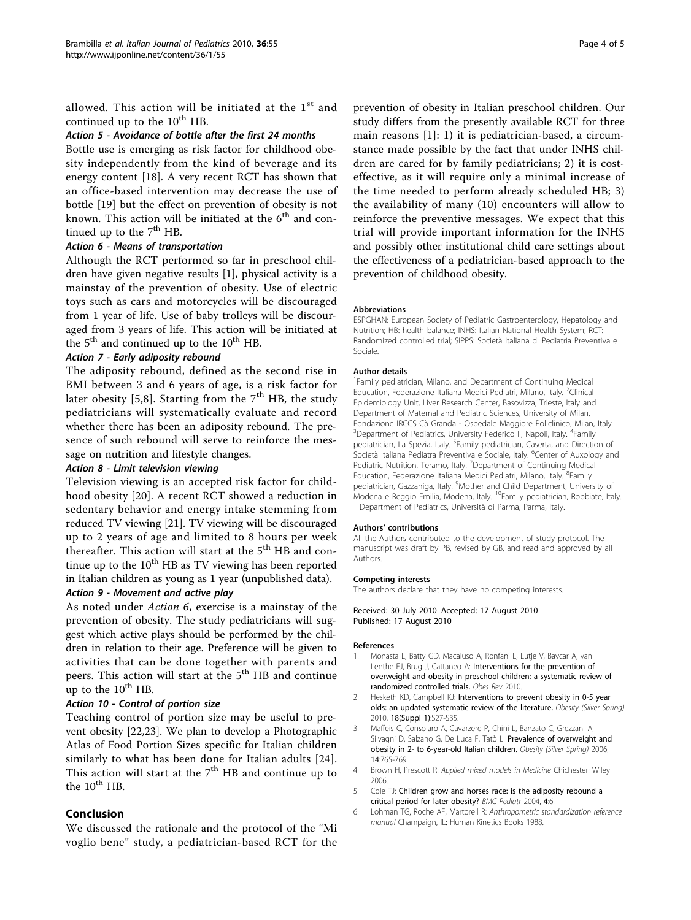<span id="page-3-0"></span>allowed. This action will be initiated at the 1<sup>st</sup> and continued up to the  $10^{th}$  HB.

### Action 5 - Avoidance of bottle after the first 24 months

Bottle use is emerging as risk factor for childhood obesity independently from the kind of beverage and its energy content [[18](#page-4-0)]. A very recent RCT has shown that an office-based intervention may decrease the use of bottle [[19\]](#page-4-0) but the effect on prevention of obesity is not known. This action will be initiated at the  $6<sup>th</sup>$  and continued up to the  $7<sup>th</sup>$  HB.

### Action 6 - Means of transportation

Although the RCT performed so far in preschool children have given negative results [1], physical activity is a mainstay of the prevention of obesity. Use of electric toys such as cars and motorcycles will be discouraged from 1 year of life. Use of baby trolleys will be discouraged from 3 years of life. This action will be initiated at the  $5<sup>th</sup>$  and continued up to the  $10<sup>th</sup>$  HB.

#### Action 7 - Early adiposity rebound

The adiposity rebound, defined as the second rise in BMI between 3 and 6 years of age, is a risk factor for later obesity [5,[8\]](#page-4-0). Starting from the  $7<sup>th</sup>$  HB, the study pediatricians will systematically evaluate and record whether there has been an adiposity rebound. The presence of such rebound will serve to reinforce the message on nutrition and lifestyle changes.

#### Action 8 - Limit television viewing

Television viewing is an accepted risk factor for childhood obesity [[20\]](#page-4-0). A recent RCT showed a reduction in sedentary behavior and energy intake stemming from reduced TV viewing [[21\]](#page-4-0). TV viewing will be discouraged up to 2 years of age and limited to 8 hours per week thereafter. This action will start at the  $5<sup>th</sup>$  HB and continue up to the  $10^{th}$  HB as TV viewing has been reported in Italian children as young as 1 year (unpublished data).

# Action 9 - Movement and active play

As noted under Action 6, exercise is a mainstay of the prevention of obesity. The study pediatricians will suggest which active plays should be performed by the children in relation to their age. Preference will be given to activities that can be done together with parents and peers. This action will start at the  $5<sup>th</sup>$  HB and continue up to the  $10^{th}$  HB.

# Action 10 - Control of portion size

Teaching control of portion size may be useful to prevent obesity [[22,23\]](#page-4-0). We plan to develop a Photographic Atlas of Food Portion Sizes specific for Italian children similarly to what has been done for Italian adults [[24](#page-4-0)]. This action will start at the  $7<sup>th</sup>$  HB and continue up to the  $10^{th}$  HB.

#### Conclusion

We discussed the rationale and the protocol of the "Mi voglio bene" study, a pediatrician-based RCT for the

prevention of obesity in Italian preschool children. Our study differs from the presently available RCT for three main reasons [1]: 1) it is pediatrician-based, a circumstance made possible by the fact that under INHS children are cared for by family pediatricians; 2) it is costeffective, as it will require only a minimal increase of the time needed to perform already scheduled HB; 3) the availability of many (10) encounters will allow to reinforce the preventive messages. We expect that this trial will provide important information for the INHS and possibly other institutional child care settings about the effectiveness of a pediatrician-based approach to the prevention of childhood obesity.

#### Abbreviations

ESPGHAN: European Society of Pediatric Gastroenterology, Hepatology and Nutrition; HB: health balance; INHS: Italian National Health System; RCT: Randomized controlled trial; SIPPS: Società Italiana di Pediatria Preventiva e Sociale.

#### Author details

1 Family pediatrician, Milano, and Department of Continuing Medical Education, Federazione Italiana Medici Pediatri, Milano, Italy. <sup>2</sup>Clinical Epidemiology Unit, Liver Research Center, Basovizza, Trieste, Italy and Department of Maternal and Pediatric Sciences, University of Milan, Fondazione IRCCS Cà Granda - Ospedale Maggiore Policlinico, Milan, Italy. <sup>3</sup>Department of Pediatrics, University Federico II, Napoli, Italy. <sup>4</sup>Family pediatrician, La Spezia, Italy. <sup>5</sup> Family pediatrician, Caserta, and Direction of Società Italiana Pediatra Preventiva e Sociale, Italy. <sup>6</sup>Center of Auxology and Pediatric Nutrition, Teramo, Italy. <sup>7</sup>Department of Continuing Medical Education, Federazione Italiana Medici Pediatri, Milano, Italy. <sup>8</sup>Family pediatrician, Gazzaniga, Italy. <sup>9</sup>Mother and Child Department, University of Modena e Reggio Emilia, Modena, Italy. <sup>10</sup>Family pediatrician, Robbiate, Italy.<br><sup>11</sup>Department of Pediatrics, Università di Parma, Parma, Italy.

#### Authors' contributions

All the Authors contributed to the development of study protocol. The manuscript was draft by PB, revised by GB, and read and approved by all Authors.

#### Competing interests

The authors declare that they have no competing interests.

#### Received: 30 July 2010 Accepted: 17 August 2010 Published: 17 August 2010

#### References

- 1. Monasta L, Batty GD, Macaluso A, Ronfani L, Lutje V, Bavcar A, van Lenthe FJ, Brug J, Cattaneo A: Interventions for the prevention of overweight and obesity in preschool children: a systematic review of randomized controlled trials. Obes Rev 2010.
- 2. Hesketh KD, Campbell KJ: [Interventions to prevent obesity in 0-5 year](http://www.ncbi.nlm.nih.gov/pubmed/20107458?dopt=Abstract) [olds: an updated systematic review of the literature.](http://www.ncbi.nlm.nih.gov/pubmed/20107458?dopt=Abstract) Obesity (Silver Spring) 2010, 18(Suppl 1):S27-S35.
- 3. Maffeis C, Consolaro A, Cavarzere P, Chini L, Banzato C, Grezzani A, Silvagni D, Salzano G, De Luca F, Tatò L: [Prevalence of overweight and](http://www.ncbi.nlm.nih.gov/pubmed/16855183?dopt=Abstract) [obesity in 2- to 6-year-old Italian children.](http://www.ncbi.nlm.nih.gov/pubmed/16855183?dopt=Abstract) Obesity (Silver Spring) 2006, 14:765-769.
- 4. Brown H, Prescott R: Applied mixed models in Medicine Chichester: Wiley 2006.
- Cole TJ: [Children grow and horses race: is the adiposity rebound a](http://www.ncbi.nlm.nih.gov/pubmed/15113440?dopt=Abstract) [critical period for later obesity?](http://www.ncbi.nlm.nih.gov/pubmed/15113440?dopt=Abstract) BMC Pediatr 2004, 4:6.
- 6. Lohman TG, Roche AF, Martorell R: Anthropometric standardization reference manual Champaign, IL: Human Kinetics Books 1988.